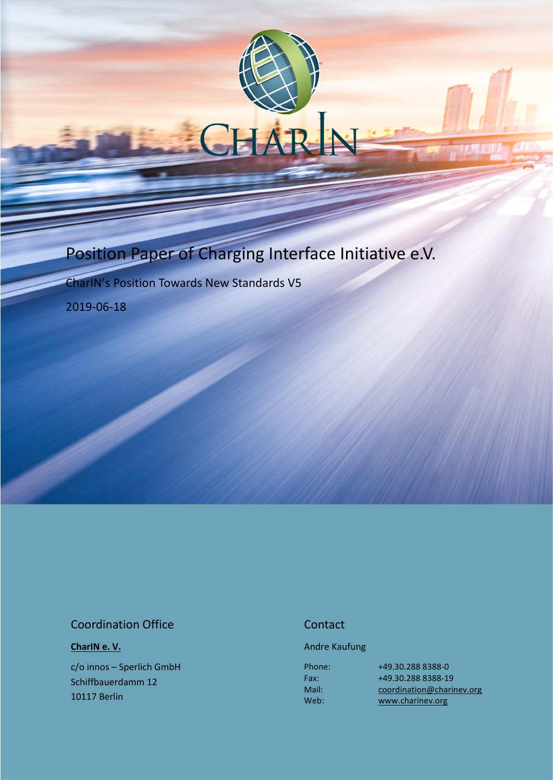# Position Paper of Charging Interface Initiative e.V.

CharIN's Position Towards New Standards V5

2019-06-18

#### Coordination Office

**[CharIN e. V.](http://charinev.org/news/)**

c/o innos – Sperlich GmbH Schiffbauerdamm 12 10117 Berlin

### **Contact**

Andre Kaufung

Phone: Fax: Mail: Web:

[+49.30.288](tel:+49%2030%20288) 8388-0 [+49.30.288](tel:+49%2030%20288) 8388-19 [coordination@charinev.org](mailto:andre.kaufung@charinev.org) [www.charinev.org](http://www.charinev.org/)